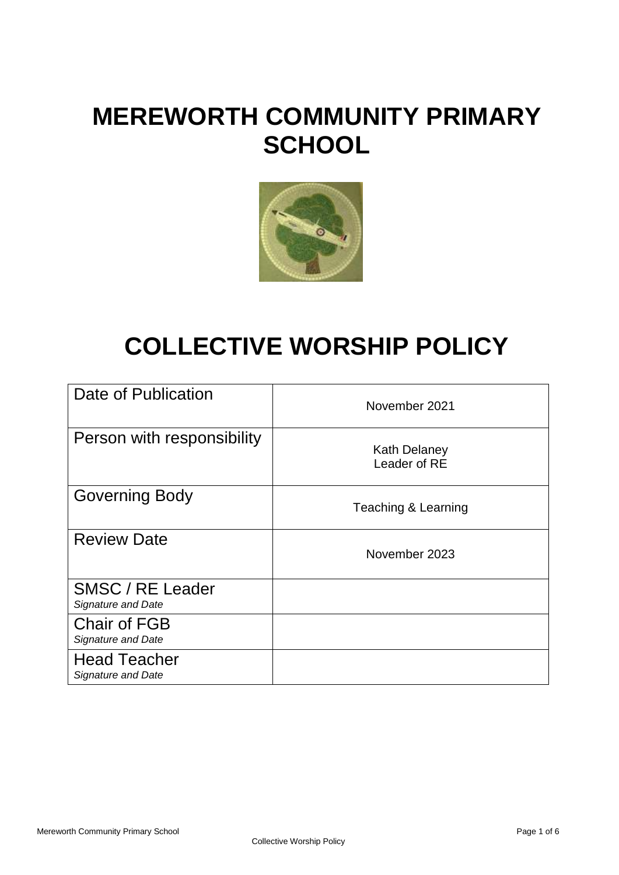# **MEREWORTH COMMUNITY PRIMARY SCHOOL**



# **COLLECTIVE WORSHIP POLICY**

| Date of Publication                              | November 2021                       |
|--------------------------------------------------|-------------------------------------|
| Person with responsibility                       | <b>Kath Delaney</b><br>Leader of RE |
| <b>Governing Body</b>                            | Teaching & Learning                 |
| <b>Review Date</b>                               | November 2023                       |
| SMSC / RE Leader<br>Signature and Date           |                                     |
| <b>Chair of FGB</b><br><b>Signature and Date</b> |                                     |
| <b>Head Teacher</b><br><b>Signature and Date</b> |                                     |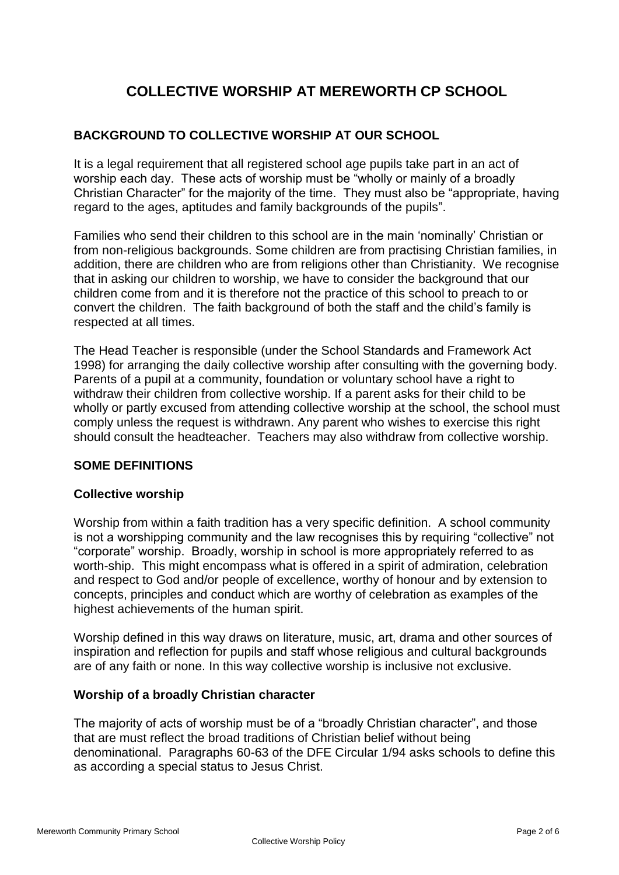# **COLLECTIVE WORSHIP AT MEREWORTH CP SCHOOL**

### **BACKGROUND TO COLLECTIVE WORSHIP AT OUR SCHOOL**

It is a legal requirement that all registered school age pupils take part in an act of worship each day. These acts of worship must be "wholly or mainly of a broadly Christian Character" for the majority of the time. They must also be "appropriate, having regard to the ages, aptitudes and family backgrounds of the pupils".

Families who send their children to this school are in the main 'nominally' Christian or from non-religious backgrounds. Some children are from practising Christian families, in addition, there are children who are from religions other than Christianity. We recognise that in asking our children to worship, we have to consider the background that our children come from and it is therefore not the practice of this school to preach to or convert the children. The faith background of both the staff and the child's family is respected at all times.

The Head Teacher is responsible (under the School Standards and Framework Act 1998) for arranging the daily collective worship after consulting with the governing body. Parents of a pupil at a community, foundation or voluntary school have a right to withdraw their children from collective worship. If a parent asks for their child to be wholly or partly excused from attending collective worship at the school, the school must comply unless the request is withdrawn. Any parent who wishes to exercise this right should consult the headteacher. Teachers may also withdraw from collective worship.

#### **SOME DEFINITIONS**

#### **Collective worship**

Worship from within a faith tradition has a very specific definition. A school community is not a worshipping community and the law recognises this by requiring "collective" not "corporate" worship. Broadly, worship in school is more appropriately referred to as worth-ship. This might encompass what is offered in a spirit of admiration, celebration and respect to God and/or people of excellence, worthy of honour and by extension to concepts, principles and conduct which are worthy of celebration as examples of the highest achievements of the human spirit.

Worship defined in this way draws on literature, music, art, drama and other sources of inspiration and reflection for pupils and staff whose religious and cultural backgrounds are of any faith or none. In this way collective worship is inclusive not exclusive.

#### **Worship of a broadly Christian character**

The majority of acts of worship must be of a "broadly Christian character", and those that are must reflect the broad traditions of Christian belief without being denominational. Paragraphs 60-63 of the DFE Circular 1/94 asks schools to define this as according a special status to Jesus Christ.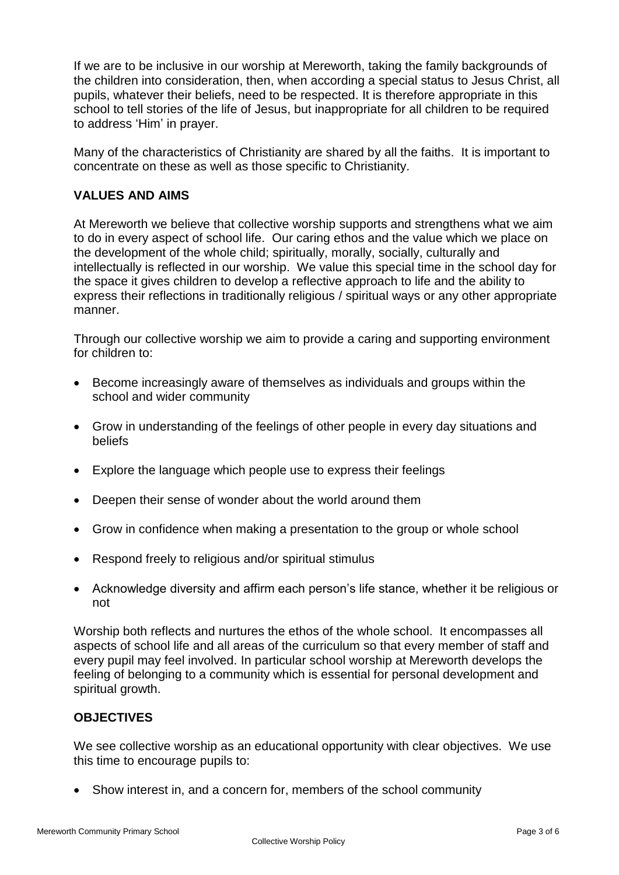If we are to be inclusive in our worship at Mereworth, taking the family backgrounds of the children into consideration, then, when according a special status to Jesus Christ, all pupils, whatever their beliefs, need to be respected. It is therefore appropriate in this school to tell stories of the life of Jesus, but inappropriate for all children to be required to address 'Him' in prayer.

Many of the characteristics of Christianity are shared by all the faiths. It is important to concentrate on these as well as those specific to Christianity.

### **VALUES AND AIMS**

At Mereworth we believe that collective worship supports and strengthens what we aim to do in every aspect of school life. Our caring ethos and the value which we place on the development of the whole child; spiritually, morally, socially, culturally and intellectually is reflected in our worship. We value this special time in the school day for the space it gives children to develop a reflective approach to life and the ability to express their reflections in traditionally religious / spiritual ways or any other appropriate manner.

Through our collective worship we aim to provide a caring and supporting environment for children to:

- Become increasingly aware of themselves as individuals and groups within the school and wider community
- Grow in understanding of the feelings of other people in every day situations and beliefs
- Explore the language which people use to express their feelings
- Deepen their sense of wonder about the world around them
- Grow in confidence when making a presentation to the group or whole school
- Respond freely to religious and/or spiritual stimulus
- Acknowledge diversity and affirm each person's life stance, whether it be religious or not

Worship both reflects and nurtures the ethos of the whole school. It encompasses all aspects of school life and all areas of the curriculum so that every member of staff and every pupil may feel involved. In particular school worship at Mereworth develops the feeling of belonging to a community which is essential for personal development and spiritual growth.

# **OBJECTIVES**

We see collective worship as an educational opportunity with clear objectives. We use this time to encourage pupils to:

• Show interest in, and a concern for, members of the school community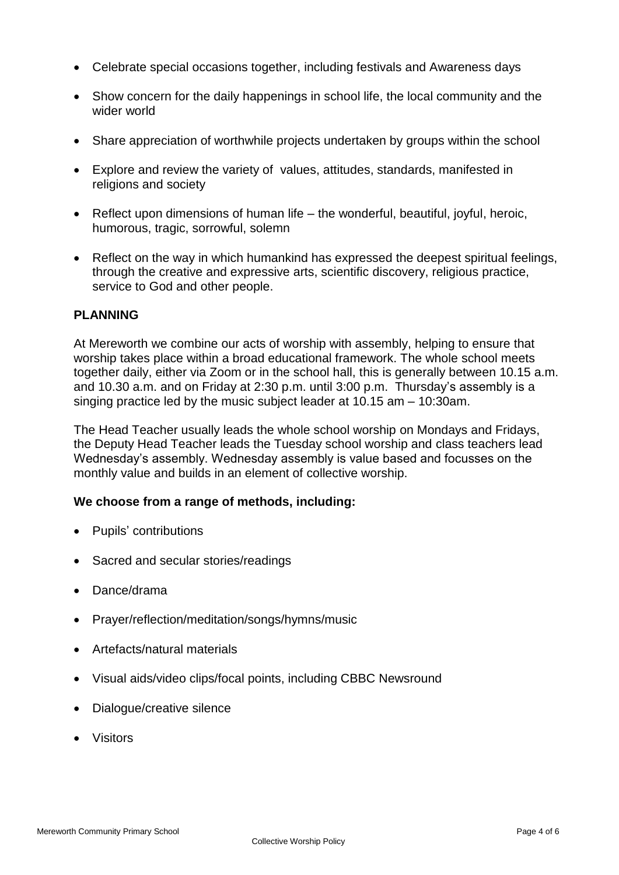- Celebrate special occasions together, including festivals and Awareness days
- Show concern for the daily happenings in school life, the local community and the wider world
- Share appreciation of worthwhile projects undertaken by groups within the school
- Explore and review the variety of values, attitudes, standards, manifested in religions and society
- Reflect upon dimensions of human life the wonderful, beautiful, joyful, heroic, humorous, tragic, sorrowful, solemn
- Reflect on the way in which humankind has expressed the deepest spiritual feelings, through the creative and expressive arts, scientific discovery, religious practice, service to God and other people.

#### **PLANNING**

At Mereworth we combine our acts of worship with assembly, helping to ensure that worship takes place within a broad educational framework. The whole school meets together daily, either via Zoom or in the school hall, this is generally between 10.15 a.m. and 10.30 a.m. and on Friday at 2:30 p.m. until 3:00 p.m. Thursday's assembly is a singing practice led by the music subject leader at 10.15 am – 10:30am.

The Head Teacher usually leads the whole school worship on Mondays and Fridays, the Deputy Head Teacher leads the Tuesday school worship and class teachers lead Wednesday's assembly. Wednesday assembly is value based and focusses on the monthly value and builds in an element of collective worship.

#### **We choose from a range of methods, including:**

- Pupils' contributions
- Sacred and secular stories/readings
- Dance/drama
- Prayer/reflection/meditation/songs/hymns/music
- Artefacts/natural materials
- Visual aids/video clips/focal points, including CBBC Newsround
- Dialogue/creative silence
- Visitors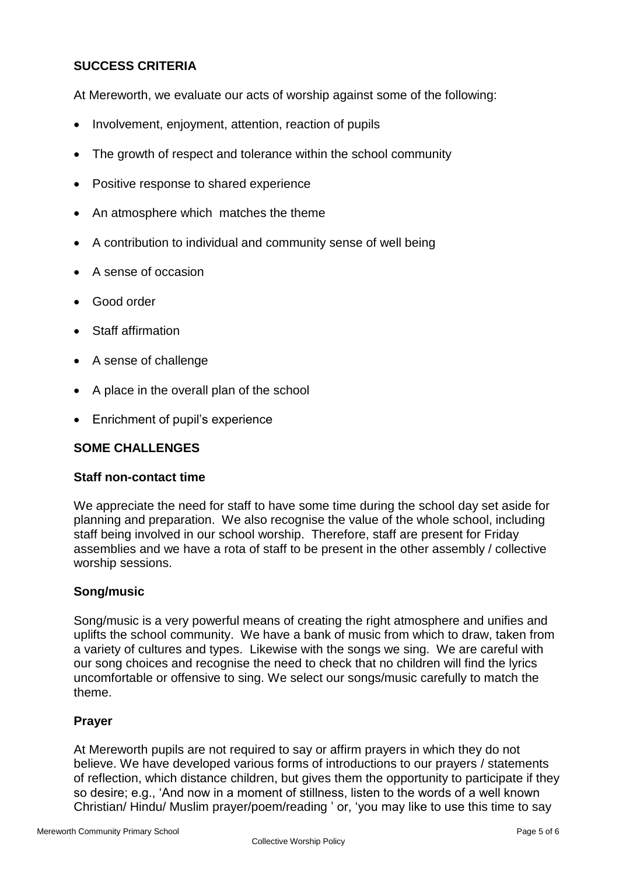# **SUCCESS CRITERIA**

At Mereworth, we evaluate our acts of worship against some of the following:

- Involvement, enjoyment, attention, reaction of pupils
- The growth of respect and tolerance within the school community
- Positive response to shared experience
- An atmosphere which matches the theme
- A contribution to individual and community sense of well being
- A sense of occasion
- Good order
- Staff affirmation
- A sense of challenge
- A place in the overall plan of the school
- Enrichment of pupil's experience

#### **SOME CHALLENGES**

#### **Staff non-contact time**

We appreciate the need for staff to have some time during the school day set aside for planning and preparation. We also recognise the value of the whole school, including staff being involved in our school worship. Therefore, staff are present for Friday assemblies and we have a rota of staff to be present in the other assembly / collective worship sessions.

#### **Song/music**

Song/music is a very powerful means of creating the right atmosphere and unifies and uplifts the school community. We have a bank of music from which to draw, taken from a variety of cultures and types. Likewise with the songs we sing. We are careful with our song choices and recognise the need to check that no children will find the lyrics uncomfortable or offensive to sing. We select our songs/music carefully to match the theme.

#### **Prayer**

At Mereworth pupils are not required to say or affirm prayers in which they do not believe. We have developed various forms of introductions to our prayers / statements of reflection, which distance children, but gives them the opportunity to participate if they so desire; e.g., 'And now in a moment of stillness, listen to the words of a well known Christian/ Hindu/ Muslim prayer/poem/reading ' or, 'you may like to use this time to say